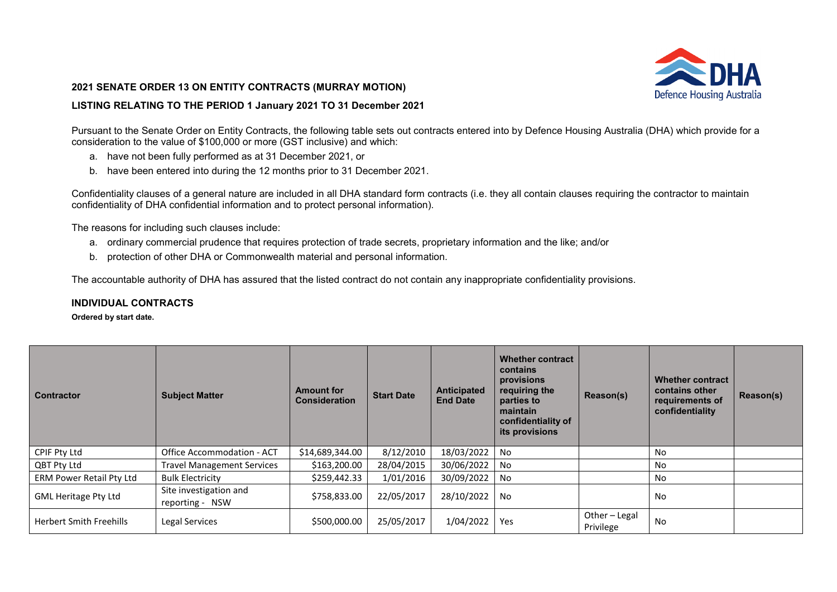## **2021 SENATE ORDER 13 ON ENTITY CONTRACTS (MURRAY MOTION)**

## **LISTING RELATING TO THE PERIOD 1 January 2021 TO 31 December 2021**

Defence Housing Australia

Pursuant to the Senate Order on Entity Contracts, the following table sets out contracts entered into by Defence Housing Australia (DHA) which provide for a consideration to the value of \$100,000 or more (GST inclusive) and which:

- a. have not been fully performed as at 31 December 2021, or
- b. have been entered into during the 12 months prior to 31 December 2021.

Confidentiality clauses of a general nature are included in all DHA standard form contracts (i.e. they all contain clauses requiring the contractor to maintain confidentiality of DHA confidential information and to protect personal information).

The reasons for including such clauses include:

- a. ordinary commercial prudence that requires protection of trade secrets, proprietary information and the like; and/or
- b. protection of other DHA or Commonwealth material and personal information.

The accountable authority of DHA has assured that the listed contract do not contain any inappropriate confidentiality provisions.

## **INDIVIDUAL CONTRACTS**

**Ordered by start date.** 

| <b>Contractor</b>              | <b>Subject Matter</b>                     | <b>Amount for</b><br><b>Consideration</b> | <b>Start Date</b> | <b>Anticipated</b><br><b>End Date</b> | <b>Whether contract</b><br>contains<br>provisions<br>requiring the<br>parties to<br>maintain<br>confidentiality of<br>its provisions | Reason(s)                | <b>Whether contract</b><br>contains other<br>requirements of<br>confidentiality | Reason(s) |
|--------------------------------|-------------------------------------------|-------------------------------------------|-------------------|---------------------------------------|--------------------------------------------------------------------------------------------------------------------------------------|--------------------------|---------------------------------------------------------------------------------|-----------|
| CPIF Pty Ltd                   | Office Accommodation - ACT                | \$14,689,344.00                           | 8/12/2010         | 18/03/2022                            | No                                                                                                                                   |                          | No                                                                              |           |
| QBT Pty Ltd                    | <b>Travel Management Services</b>         | \$163,200.00                              | 28/04/2015        | 30/06/2022                            | No                                                                                                                                   |                          | No                                                                              |           |
| ERM Power Retail Pty Ltd       | <b>Bulk Electricity</b>                   | \$259,442.33                              | 1/01/2016         | 30/09/2022                            | No                                                                                                                                   |                          | No                                                                              |           |
| <b>GML Heritage Pty Ltd</b>    | Site investigation and<br>reporting - NSW | \$758,833.00                              | 22/05/2017        | 28/10/2022                            | No                                                                                                                                   |                          | No                                                                              |           |
| <b>Herbert Smith Freehills</b> | Legal Services                            | \$500,000.00                              | 25/05/2017        | 1/04/2022                             | Yes                                                                                                                                  | Other-Legal<br>Privilege | No                                                                              |           |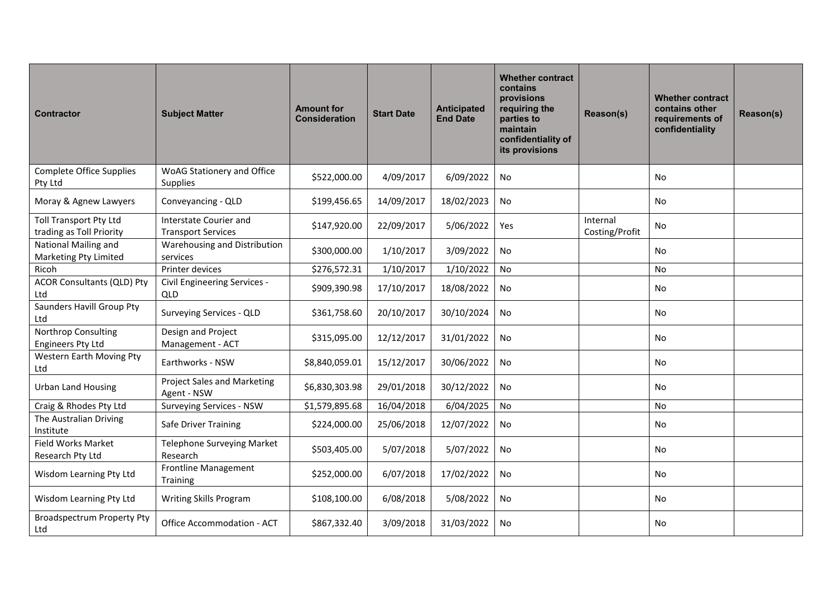| <b>Contractor</b>                                         | <b>Subject Matter</b>                               | <b>Amount for</b><br><b>Consideration</b> | <b>Start Date</b> | <b>Anticipated</b><br><b>End Date</b> | <b>Whether contract</b><br>contains<br>provisions<br>requiring the<br>parties to<br>maintain<br>confidentiality of<br>its provisions | Reason(s)                  | <b>Whether contract</b><br>contains other<br>requirements of<br>confidentiality | Reason(s) |
|-----------------------------------------------------------|-----------------------------------------------------|-------------------------------------------|-------------------|---------------------------------------|--------------------------------------------------------------------------------------------------------------------------------------|----------------------------|---------------------------------------------------------------------------------|-----------|
| <b>Complete Office Supplies</b><br>Pty Ltd                | WoAG Stationery and Office<br>Supplies              | \$522,000.00                              | 4/09/2017         | 6/09/2022                             | No                                                                                                                                   |                            | No                                                                              |           |
| Moray & Agnew Lawyers                                     | Conveyancing - QLD                                  | \$199,456.65                              | 14/09/2017        | 18/02/2023                            | No                                                                                                                                   |                            | No                                                                              |           |
| <b>Toll Transport Pty Ltd</b><br>trading as Toll Priority | Interstate Courier and<br><b>Transport Services</b> | \$147,920.00                              | 22/09/2017        | 5/06/2022                             | Yes                                                                                                                                  | Internal<br>Costing/Profit | No                                                                              |           |
| National Mailing and<br><b>Marketing Pty Limited</b>      | Warehousing and Distribution<br>services            | \$300,000.00                              | 1/10/2017         | 3/09/2022                             | No                                                                                                                                   |                            | <b>No</b>                                                                       |           |
| Ricoh                                                     | Printer devices                                     | \$276,572.31                              | 1/10/2017         | 1/10/2022                             | No                                                                                                                                   |                            | No                                                                              |           |
| <b>ACOR Consultants (QLD) Pty</b><br>Ltd                  | Civil Engineering Services -<br>QLD                 | \$909,390.98                              | 17/10/2017        | 18/08/2022                            | No                                                                                                                                   |                            | No                                                                              |           |
| Saunders Havill Group Pty<br>Ltd                          | Surveying Services - QLD                            | \$361,758.60                              | 20/10/2017        | 30/10/2024                            | No                                                                                                                                   |                            | No                                                                              |           |
| Northrop Consulting<br><b>Engineers Pty Ltd</b>           | Design and Project<br>Management - ACT              | \$315,095.00                              | 12/12/2017        | 31/01/2022                            | No                                                                                                                                   |                            | No                                                                              |           |
| Western Earth Moving Pty<br>Ltd                           | Earthworks - NSW                                    | \$8,840,059.01                            | 15/12/2017        | 30/06/2022                            | No                                                                                                                                   |                            | <b>No</b>                                                                       |           |
| <b>Urban Land Housing</b>                                 | <b>Project Sales and Marketing</b><br>Agent - NSW   | \$6,830,303.98                            | 29/01/2018        | 30/12/2022                            | No                                                                                                                                   |                            | <b>No</b>                                                                       |           |
| Craig & Rhodes Pty Ltd                                    | Surveying Services - NSW                            | \$1,579,895.68                            | 16/04/2018        | 6/04/2025                             | No                                                                                                                                   |                            | No                                                                              |           |
| The Australian Driving<br>Institute                       | Safe Driver Training                                | \$224,000.00                              | 25/06/2018        | 12/07/2022                            | <b>No</b>                                                                                                                            |                            | No                                                                              |           |
| Field Works Market<br>Research Pty Ltd                    | Telephone Surveying Market<br>Research              | \$503,405.00                              | 5/07/2018         | 5/07/2022                             | No                                                                                                                                   |                            | No                                                                              |           |
| Wisdom Learning Pty Ltd                                   | <b>Frontline Management</b><br>Training             | \$252,000.00                              | 6/07/2018         | 17/02/2022                            | No                                                                                                                                   |                            | No                                                                              |           |
| Wisdom Learning Pty Ltd                                   | Writing Skills Program                              | \$108,100.00                              | 6/08/2018         | 5/08/2022                             | No                                                                                                                                   |                            | <b>No</b>                                                                       |           |
| <b>Broadspectrum Property Pty</b><br>Ltd                  | Office Accommodation - ACT                          | \$867,332.40                              | 3/09/2018         | 31/03/2022                            | No                                                                                                                                   |                            | <b>No</b>                                                                       |           |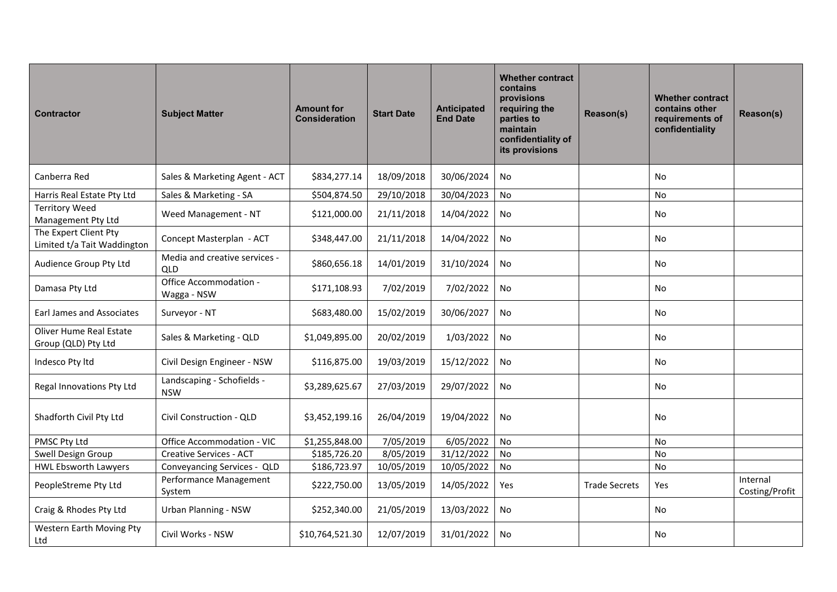| <b>Contractor</b>                                     | <b>Subject Matter</b>                       | <b>Amount for</b><br><b>Consideration</b> | <b>Start Date</b> | Anticipated<br><b>End Date</b> | <b>Whether contract</b><br>contains<br>provisions<br>requiring the<br>parties to<br>maintain<br>confidentiality of<br>its provisions | Reason(s)            | <b>Whether contract</b><br>contains other<br>requirements of<br>confidentiality | Reason(s)                  |
|-------------------------------------------------------|---------------------------------------------|-------------------------------------------|-------------------|--------------------------------|--------------------------------------------------------------------------------------------------------------------------------------|----------------------|---------------------------------------------------------------------------------|----------------------------|
| Canberra Red                                          | Sales & Marketing Agent - ACT               | \$834,277.14                              | 18/09/2018        | 30/06/2024                     | <b>No</b>                                                                                                                            |                      | <b>No</b>                                                                       |                            |
| Harris Real Estate Pty Ltd                            | Sales & Marketing - SA                      | \$504,874.50                              | 29/10/2018        | 30/04/2023                     | No                                                                                                                                   |                      | <b>No</b>                                                                       |                            |
| <b>Territory Weed</b><br>Management Pty Ltd           | Weed Management - NT                        | \$121,000.00                              | 21/11/2018        | 14/04/2022                     | No                                                                                                                                   |                      | No                                                                              |                            |
| The Expert Client Pty<br>Limited t/a Tait Waddington  | Concept Masterplan - ACT                    | \$348,447.00                              | 21/11/2018        | 14/04/2022                     | No                                                                                                                                   |                      | No                                                                              |                            |
| Audience Group Pty Ltd                                | Media and creative services -<br><b>QLD</b> | \$860,656.18                              | 14/01/2019        | 31/10/2024                     | No                                                                                                                                   |                      | No                                                                              |                            |
| Damasa Pty Ltd                                        | Office Accommodation -<br>Wagga - NSW       | \$171,108.93                              | 7/02/2019         | 7/02/2022                      | No                                                                                                                                   |                      | <b>No</b>                                                                       |                            |
| <b>Earl James and Associates</b>                      | Surveyor - NT                               | \$683,480.00                              | 15/02/2019        | 30/06/2027                     | No                                                                                                                                   |                      | No                                                                              |                            |
| <b>Oliver Hume Real Estate</b><br>Group (QLD) Pty Ltd | Sales & Marketing - QLD                     | \$1,049,895.00                            | 20/02/2019        | 1/03/2022                      | No                                                                                                                                   |                      | <b>No</b>                                                                       |                            |
| Indesco Pty Itd                                       | Civil Design Engineer - NSW                 | \$116,875.00                              | 19/03/2019        | 15/12/2022                     | No                                                                                                                                   |                      | No                                                                              |                            |
| Regal Innovations Pty Ltd                             | Landscaping - Schofields -<br><b>NSW</b>    | \$3,289,625.67                            | 27/03/2019        | 29/07/2022                     | No                                                                                                                                   |                      | No                                                                              |                            |
| Shadforth Civil Pty Ltd                               | Civil Construction - QLD                    | \$3,452,199.16                            | 26/04/2019        | 19/04/2022                     | <b>No</b>                                                                                                                            |                      | No                                                                              |                            |
| PMSC Pty Ltd                                          | Office Accommodation - VIC                  | \$1,255,848.00                            | 7/05/2019         | 6/05/2022                      | No                                                                                                                                   |                      | <b>No</b>                                                                       |                            |
| Swell Design Group                                    | <b>Creative Services - ACT</b>              | \$185,726.20                              | 8/05/2019         | 31/12/2022                     | No                                                                                                                                   |                      | No                                                                              |                            |
| <b>HWL Ebsworth Lawyers</b>                           | Conveyancing Services - QLD                 | \$186,723.97                              | 10/05/2019        | 10/05/2022                     | No                                                                                                                                   |                      | No                                                                              |                            |
| PeopleStreme Pty Ltd                                  | Performance Management<br>System            | \$222,750.00                              | 13/05/2019        | 14/05/2022                     | Yes                                                                                                                                  | <b>Trade Secrets</b> | Yes                                                                             | Internal<br>Costing/Profit |
| Craig & Rhodes Pty Ltd                                | <b>Urban Planning - NSW</b>                 | \$252,340.00                              | 21/05/2019        | 13/03/2022                     | No                                                                                                                                   |                      | No                                                                              |                            |
| Western Earth Moving Pty<br>Ltd                       | Civil Works - NSW                           | \$10,764,521.30                           | 12/07/2019        | 31/01/2022                     | No                                                                                                                                   |                      | No                                                                              |                            |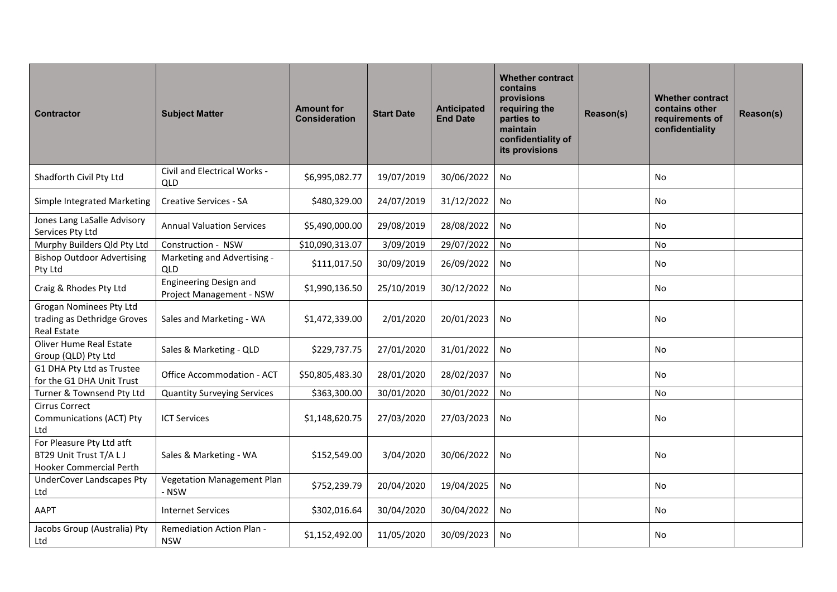| <b>Contractor</b>                                                                      | <b>Subject Matter</b>                                     | <b>Amount for</b><br><b>Consideration</b> | <b>Start Date</b> | <b>Anticipated</b><br><b>End Date</b> | <b>Whether contract</b><br>contains<br>provisions<br>requiring the<br>parties to<br>maintain<br>confidentiality of<br>its provisions | Reason(s) | <b>Whether contract</b><br>contains other<br>requirements of<br>confidentiality | Reason(s) |
|----------------------------------------------------------------------------------------|-----------------------------------------------------------|-------------------------------------------|-------------------|---------------------------------------|--------------------------------------------------------------------------------------------------------------------------------------|-----------|---------------------------------------------------------------------------------|-----------|
| Shadforth Civil Pty Ltd                                                                | Civil and Electrical Works -<br>QLD                       | \$6,995,082.77                            | 19/07/2019        | 30/06/2022                            | No                                                                                                                                   |           | <b>No</b>                                                                       |           |
| Simple Integrated Marketing                                                            | <b>Creative Services - SA</b>                             | \$480,329.00                              | 24/07/2019        | 31/12/2022                            | No                                                                                                                                   |           | No                                                                              |           |
| Jones Lang LaSalle Advisory<br>Services Pty Ltd                                        | <b>Annual Valuation Services</b>                          | \$5,490,000.00                            | 29/08/2019        | 28/08/2022                            | No                                                                                                                                   |           | No                                                                              |           |
| Murphy Builders Qld Pty Ltd                                                            | Construction - NSW                                        | \$10,090,313.07                           | 3/09/2019         | 29/07/2022                            | No                                                                                                                                   |           | No                                                                              |           |
| <b>Bishop Outdoor Advertising</b><br>Pty Ltd                                           | Marketing and Advertising -<br><b>QLD</b>                 | \$111,017.50                              | 30/09/2019        | 26/09/2022                            | No                                                                                                                                   |           | No                                                                              |           |
| Craig & Rhodes Pty Ltd                                                                 | <b>Engineering Design and</b><br>Project Management - NSW | \$1,990,136.50                            | 25/10/2019        | 30/12/2022                            | <b>No</b>                                                                                                                            |           | No                                                                              |           |
| <b>Grogan Nominees Pty Ltd</b><br>trading as Dethridge Groves<br>Real Estate           | Sales and Marketing - WA                                  | \$1,472,339.00                            | 2/01/2020         | 20/01/2023                            | No                                                                                                                                   |           | <b>No</b>                                                                       |           |
| <b>Oliver Hume Real Estate</b><br>Group (QLD) Pty Ltd                                  | Sales & Marketing - QLD                                   | \$229,737.75                              | 27/01/2020        | 31/01/2022                            | No                                                                                                                                   |           | <b>No</b>                                                                       |           |
| G1 DHA Pty Ltd as Trustee<br>for the G1 DHA Unit Trust                                 | Office Accommodation - ACT                                | \$50,805,483.30                           | 28/01/2020        | 28/02/2037                            | No                                                                                                                                   |           | <b>No</b>                                                                       |           |
| Turner & Townsend Pty Ltd                                                              | <b>Quantity Surveying Services</b>                        | \$363,300.00                              | 30/01/2020        | 30/01/2022                            | <b>No</b>                                                                                                                            |           | No                                                                              |           |
| <b>Cirrus Correct</b><br>Communications (ACT) Pty<br>Ltd                               | <b>ICT Services</b>                                       | \$1,148,620.75                            | 27/03/2020        | 27/03/2023                            | No                                                                                                                                   |           | No                                                                              |           |
| For Pleasure Pty Ltd atft<br>BT29 Unit Trust T/A L J<br><b>Hooker Commercial Perth</b> | Sales & Marketing - WA                                    | \$152,549.00                              | 3/04/2020         | 30/06/2022                            | No                                                                                                                                   |           | <b>No</b>                                                                       |           |
| <b>UnderCover Landscapes Pty</b><br>Ltd                                                | <b>Vegetation Management Plan</b><br>- NSW                | \$752,239.79                              | 20/04/2020        | 19/04/2025                            | No                                                                                                                                   |           | <b>No</b>                                                                       |           |
| AAPT                                                                                   | <b>Internet Services</b>                                  | \$302,016.64                              | 30/04/2020        | 30/04/2022                            | No                                                                                                                                   |           | <b>No</b>                                                                       |           |
| Jacobs Group (Australia) Pty<br>Ltd                                                    | <b>Remediation Action Plan -</b><br><b>NSW</b>            | \$1,152,492.00                            | 11/05/2020        | 30/09/2023                            | No                                                                                                                                   |           | <b>No</b>                                                                       |           |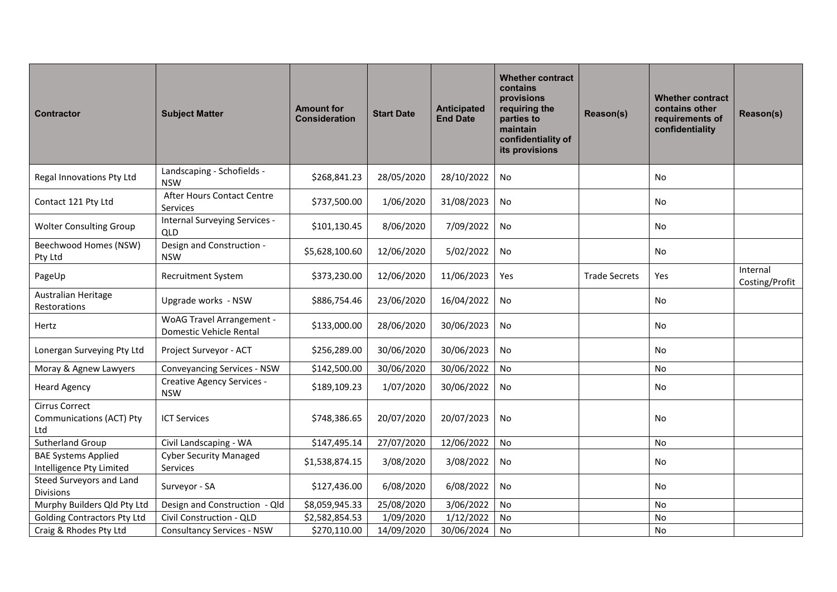| <b>Contractor</b>                                        | <b>Subject Matter</b>                                       | <b>Amount for</b><br><b>Consideration</b> | <b>Start Date</b> | <b>Anticipated</b><br><b>End Date</b> | <b>Whether contract</b><br>contains<br>provisions<br>requiring the<br>parties to<br>maintain<br>confidentiality of<br>its provisions | Reason(s)            | <b>Whether contract</b><br>contains other<br>requirements of<br>confidentiality | Reason(s)                  |
|----------------------------------------------------------|-------------------------------------------------------------|-------------------------------------------|-------------------|---------------------------------------|--------------------------------------------------------------------------------------------------------------------------------------|----------------------|---------------------------------------------------------------------------------|----------------------------|
| Regal Innovations Pty Ltd                                | Landscaping - Schofields -<br><b>NSW</b>                    | \$268,841.23                              | 28/05/2020        | 28/10/2022                            | No                                                                                                                                   |                      | No.                                                                             |                            |
| Contact 121 Pty Ltd                                      | After Hours Contact Centre<br>Services                      | \$737,500.00                              | 1/06/2020         | 31/08/2023                            | No                                                                                                                                   |                      | No                                                                              |                            |
| <b>Wolter Consulting Group</b>                           | Internal Surveying Services -<br>QLD                        | \$101,130.45                              | 8/06/2020         | 7/09/2022                             | No                                                                                                                                   |                      | No                                                                              |                            |
| Beechwood Homes (NSW)<br>Pty Ltd                         | Design and Construction -<br><b>NSW</b>                     | \$5,628,100.60                            | 12/06/2020        | 5/02/2022                             | No                                                                                                                                   |                      | No                                                                              |                            |
| PageUp                                                   | <b>Recruitment System</b>                                   | \$373,230.00                              | 12/06/2020        | 11/06/2023                            | Yes                                                                                                                                  | <b>Trade Secrets</b> | Yes                                                                             | Internal<br>Costing/Profit |
| <b>Australian Heritage</b><br>Restorations               | Upgrade works - NSW                                         | \$886,754.46                              | 23/06/2020        | 16/04/2022                            | No                                                                                                                                   |                      | No                                                                              |                            |
| Hertz                                                    | <b>WoAG Travel Arrangement -</b><br>Domestic Vehicle Rental | \$133,000.00                              | 28/06/2020        | 30/06/2023                            | No                                                                                                                                   |                      | No                                                                              |                            |
| Lonergan Surveying Pty Ltd                               | Project Surveyor - ACT                                      | \$256,289.00                              | 30/06/2020        | 30/06/2023                            | No                                                                                                                                   |                      | No                                                                              |                            |
| Moray & Agnew Lawyers                                    | <b>Conveyancing Services - NSW</b>                          | \$142,500.00                              | 30/06/2020        | 30/06/2022                            | No                                                                                                                                   |                      | No                                                                              |                            |
| <b>Heard Agency</b>                                      | Creative Agency Services -<br><b>NSW</b>                    | \$189,109.23                              | 1/07/2020         | 30/06/2022                            | No                                                                                                                                   |                      | No                                                                              |                            |
| <b>Cirrus Correct</b><br>Communications (ACT) Pty<br>Ltd | <b>ICT Services</b>                                         | \$748,386.65                              | 20/07/2020        | 20/07/2023                            | No                                                                                                                                   |                      | No                                                                              |                            |
| Sutherland Group                                         | Civil Landscaping - WA                                      | \$147,495.14                              | 27/07/2020        | 12/06/2022                            | <b>No</b>                                                                                                                            |                      | No                                                                              |                            |
| <b>BAE Systems Applied</b><br>Intelligence Pty Limited   | <b>Cyber Security Managed</b><br>Services                   | \$1,538,874.15                            | 3/08/2020         | 3/08/2022                             | No.                                                                                                                                  |                      | No                                                                              |                            |
| Steed Surveyors and Land<br><b>Divisions</b>             | Surveyor - SA                                               | \$127,436.00                              | 6/08/2020         | 6/08/2022                             | No                                                                                                                                   |                      | <b>No</b>                                                                       |                            |
| Murphy Builders Qld Pty Ltd                              | Design and Construction - Qld                               | \$8,059,945.33                            | 25/08/2020        | 3/06/2022                             | No                                                                                                                                   |                      | No                                                                              |                            |
| <b>Golding Contractors Pty Ltd</b>                       | Civil Construction - QLD                                    | \$2,582,854.53                            | 1/09/2020         | 1/12/2022                             | No                                                                                                                                   |                      | No                                                                              |                            |
| Craig & Rhodes Pty Ltd                                   | <b>Consultancy Services - NSW</b>                           | \$270,110.00                              | 14/09/2020        | 30/06/2024                            | No                                                                                                                                   |                      | No                                                                              |                            |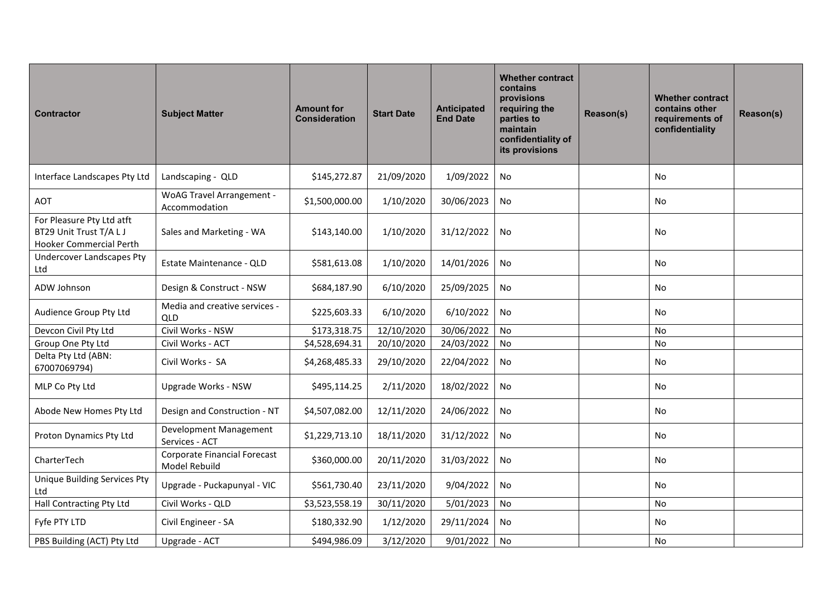| <b>Contractor</b>                                                                      | <b>Subject Matter</b>                                | <b>Amount for</b><br><b>Consideration</b> | <b>Start Date</b> | Anticipated<br><b>End Date</b> | <b>Whether contract</b><br>contains<br>provisions<br>requiring the<br>parties to<br>maintain<br>confidentiality of<br>its provisions | Reason(s) | <b>Whether contract</b><br>contains other<br>requirements of<br>confidentiality | Reason(s) |
|----------------------------------------------------------------------------------------|------------------------------------------------------|-------------------------------------------|-------------------|--------------------------------|--------------------------------------------------------------------------------------------------------------------------------------|-----------|---------------------------------------------------------------------------------|-----------|
| Interface Landscapes Pty Ltd                                                           | Landscaping - QLD                                    | \$145,272.87                              | 21/09/2020        | 1/09/2022                      | No                                                                                                                                   |           | No                                                                              |           |
| <b>AOT</b>                                                                             | <b>WoAG Travel Arrangement -</b><br>Accommodation    | \$1,500,000.00                            | 1/10/2020         | 30/06/2023                     | No                                                                                                                                   |           | No                                                                              |           |
| For Pleasure Pty Ltd atft<br>BT29 Unit Trust T/A L J<br><b>Hooker Commercial Perth</b> | Sales and Marketing - WA                             | \$143,140.00                              | 1/10/2020         | 31/12/2022                     | No                                                                                                                                   |           | <b>No</b>                                                                       |           |
| <b>Undercover Landscapes Pty</b><br>Ltd                                                | Estate Maintenance - QLD                             | \$581,613.08                              | 1/10/2020         | 14/01/2026                     | No                                                                                                                                   |           | <b>No</b>                                                                       |           |
| ADW Johnson                                                                            | Design & Construct - NSW                             | \$684,187.90                              | 6/10/2020         | 25/09/2025                     | No                                                                                                                                   |           | <b>No</b>                                                                       |           |
| Audience Group Pty Ltd                                                                 | Media and creative services -<br>QLD                 | \$225,603.33                              | 6/10/2020         | 6/10/2022                      | No                                                                                                                                   |           | <b>No</b>                                                                       |           |
| Devcon Civil Pty Ltd                                                                   | Civil Works - NSW                                    | \$173,318.75                              | 12/10/2020        | 30/06/2022                     | No                                                                                                                                   |           | <b>No</b>                                                                       |           |
| Group One Pty Ltd                                                                      | Civil Works - ACT                                    | \$4,528,694.31                            | 20/10/2020        | 24/03/2022                     | No                                                                                                                                   |           | No                                                                              |           |
| Delta Pty Ltd (ABN:<br>67007069794)                                                    | Civil Works - SA                                     | \$4,268,485.33                            | 29/10/2020        | 22/04/2022                     | No                                                                                                                                   |           | No                                                                              |           |
| MLP Co Pty Ltd                                                                         | <b>Upgrade Works - NSW</b>                           | \$495,114.25                              | 2/11/2020         | 18/02/2022                     | No                                                                                                                                   |           | <b>No</b>                                                                       |           |
| Abode New Homes Pty Ltd                                                                | Design and Construction - NT                         | \$4,507,082.00                            | 12/11/2020        | 24/06/2022                     | No                                                                                                                                   |           | <b>No</b>                                                                       |           |
| Proton Dynamics Pty Ltd                                                                | Development Management<br>Services - ACT             | \$1,229,713.10                            | 18/11/2020        | 31/12/2022                     | No                                                                                                                                   |           | No                                                                              |           |
| CharterTech                                                                            | <b>Corporate Financial Forecast</b><br>Model Rebuild | \$360,000.00                              | 20/11/2020        | 31/03/2022                     | No                                                                                                                                   |           | No                                                                              |           |
| Unique Building Services Pty<br>Ltd                                                    | Upgrade - Puckapunyal - VIC                          | \$561,730.40                              | 23/11/2020        | 9/04/2022                      | No                                                                                                                                   |           | No                                                                              |           |
| Hall Contracting Pty Ltd                                                               | Civil Works - QLD                                    | \$3,523,558.19                            | 30/11/2020        | 5/01/2023                      | No                                                                                                                                   |           | No                                                                              |           |
| Fyfe PTY LTD                                                                           | Civil Engineer - SA                                  | \$180,332.90                              | 1/12/2020         | 29/11/2024                     | No                                                                                                                                   |           | No                                                                              |           |
| PBS Building (ACT) Pty Ltd                                                             | Upgrade - ACT                                        | \$494,986.09                              | 3/12/2020         | 9/01/2022                      | No                                                                                                                                   |           | <b>No</b>                                                                       |           |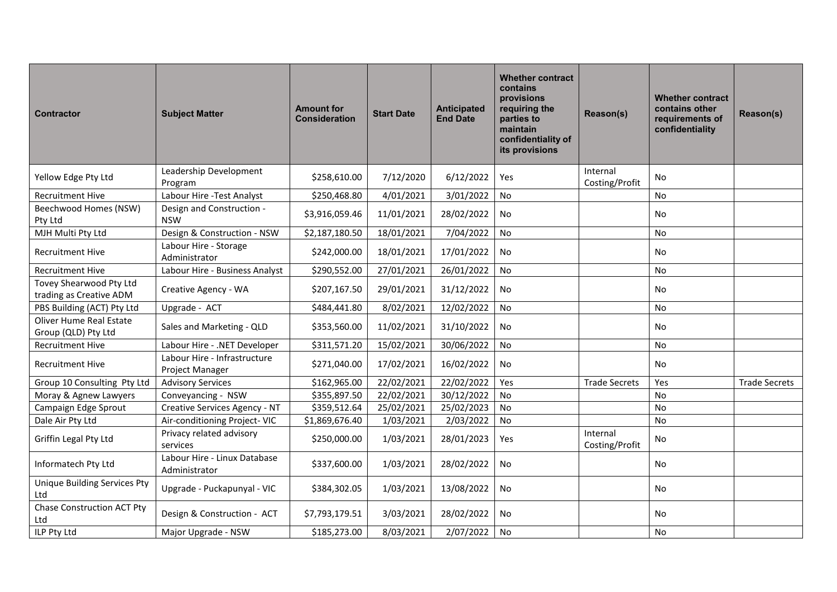| <b>Contractor</b>                                  | <b>Subject Matter</b>                           | <b>Amount for</b><br><b>Consideration</b> | <b>Start Date</b> | <b>Anticipated</b><br><b>End Date</b> | <b>Whether contract</b><br>contains<br>provisions<br>requiring the<br>parties to<br>maintain<br>confidentiality of<br>its provisions | Reason(s)                  | <b>Whether contract</b><br>contains other<br>requirements of<br>confidentiality | Reason(s)            |
|----------------------------------------------------|-------------------------------------------------|-------------------------------------------|-------------------|---------------------------------------|--------------------------------------------------------------------------------------------------------------------------------------|----------------------------|---------------------------------------------------------------------------------|----------------------|
| Yellow Edge Pty Ltd                                | Leadership Development<br>Program               | \$258,610.00                              | 7/12/2020         | 6/12/2022                             | <b>Yes</b>                                                                                                                           | Internal<br>Costing/Profit | No                                                                              |                      |
| <b>Recruitment Hive</b>                            | Labour Hire - Test Analyst                      | \$250,468.80                              | 4/01/2021         | 3/01/2022                             | No                                                                                                                                   |                            | <b>No</b>                                                                       |                      |
| Beechwood Homes (NSW)<br>Pty Ltd                   | Design and Construction -<br><b>NSW</b>         | \$3,916,059.46                            | 11/01/2021        | 28/02/2022                            | <b>No</b>                                                                                                                            |                            | No                                                                              |                      |
| MJH Multi Pty Ltd                                  | Design & Construction - NSW                     | \$2,187,180.50                            | 18/01/2021        | 7/04/2022                             | <b>No</b>                                                                                                                            |                            | No                                                                              |                      |
| <b>Recruitment Hive</b>                            | Labour Hire - Storage<br>Administrator          | \$242,000.00                              | 18/01/2021        | 17/01/2022                            | No                                                                                                                                   |                            | No                                                                              |                      |
| <b>Recruitment Hive</b>                            | Labour Hire - Business Analyst                  | \$290,552.00                              | 27/01/2021        | 26/01/2022                            | No                                                                                                                                   |                            | No                                                                              |                      |
| Tovey Shearwood Pty Ltd<br>trading as Creative ADM | Creative Agency - WA                            | \$207,167.50                              | 29/01/2021        | 31/12/2022                            | No                                                                                                                                   |                            | No                                                                              |                      |
| PBS Building (ACT) Pty Ltd                         | Upgrade - ACT                                   | \$484,441.80                              | 8/02/2021         | 12/02/2022                            | No                                                                                                                                   |                            | <b>No</b>                                                                       |                      |
| Oliver Hume Real Estate<br>Group (QLD) Pty Ltd     | Sales and Marketing - QLD                       | \$353,560.00                              | 11/02/2021        | 31/10/2022                            | No                                                                                                                                   |                            | No                                                                              |                      |
| <b>Recruitment Hive</b>                            | Labour Hire - .NET Developer                    | \$311,571.20                              | 15/02/2021        | 30/06/2022                            | No                                                                                                                                   |                            | No                                                                              |                      |
| <b>Recruitment Hive</b>                            | Labour Hire - Infrastructure<br>Project Manager | \$271,040.00                              | 17/02/2021        | 16/02/2022                            | <b>No</b>                                                                                                                            |                            | No                                                                              |                      |
| Group 10 Consulting Pty Ltd                        | <b>Advisory Services</b>                        | \$162,965.00                              | 22/02/2021        | 22/02/2022                            | Yes                                                                                                                                  | <b>Trade Secrets</b>       | Yes                                                                             | <b>Trade Secrets</b> |
| Moray & Agnew Lawyers                              | Conveyancing - NSW                              | \$355,897.50                              | 22/02/2021        | 30/12/2022                            | No                                                                                                                                   |                            | <b>No</b>                                                                       |                      |
| Campaign Edge Sprout                               | Creative Services Agency - NT                   | \$359,512.64                              | 25/02/2021        | 25/02/2023                            | No                                                                                                                                   |                            | <b>No</b>                                                                       |                      |
| Dale Air Pty Ltd                                   | Air-conditioning Project-VIC                    | \$1,869,676.40                            | 1/03/2021         | 2/03/2022                             | No                                                                                                                                   |                            | <b>No</b>                                                                       |                      |
| Griffin Legal Pty Ltd                              | Privacy related advisory<br>services            | \$250,000.00                              | 1/03/2021         | 28/01/2023                            | Yes                                                                                                                                  | Internal<br>Costing/Profit | No                                                                              |                      |
| Informatech Pty Ltd                                | Labour Hire - Linux Database<br>Administrator   | \$337,600.00                              | 1/03/2021         | 28/02/2022                            | <b>No</b>                                                                                                                            |                            | No                                                                              |                      |
| Unique Building Services Pty<br>Ltd                | Upgrade - Puckapunyal - VIC                     | \$384,302.05                              | 1/03/2021         | 13/08/2022                            | No                                                                                                                                   |                            | No                                                                              |                      |
| <b>Chase Construction ACT Pty</b><br>Ltd           | Design & Construction - ACT                     | \$7,793,179.51                            | 3/03/2021         | 28/02/2022                            | <b>No</b>                                                                                                                            |                            | <b>No</b>                                                                       |                      |
| ILP Pty Ltd                                        | Major Upgrade - NSW                             | \$185,273.00                              | 8/03/2021         | 2/07/2022                             | No                                                                                                                                   |                            | <b>No</b>                                                                       |                      |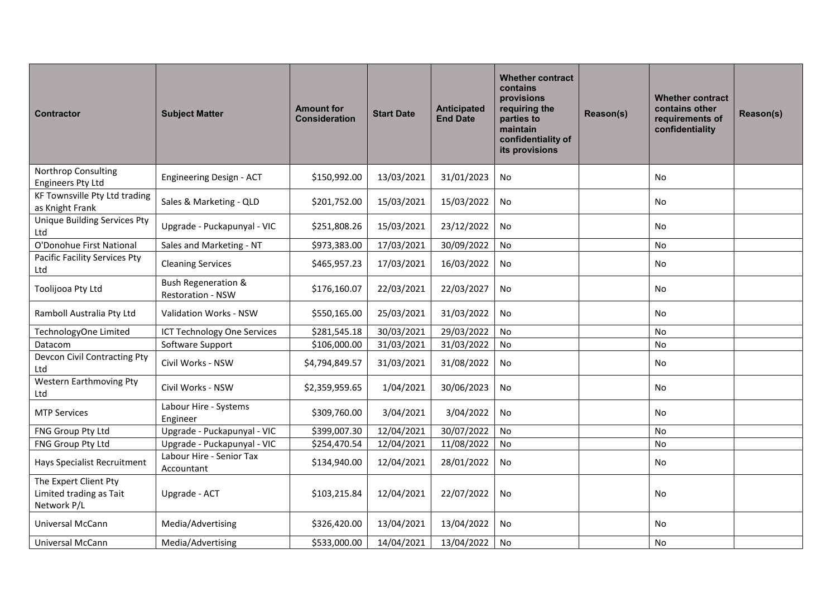| <b>Contractor</b>                                               | <b>Subject Matter</b>                               | <b>Amount for</b><br><b>Consideration</b> | <b>Start Date</b> | Anticipated<br><b>End Date</b> | <b>Whether contract</b><br>contains<br>provisions<br>requiring the<br>parties to<br>maintain<br>confidentiality of<br>its provisions | Reason(s) | <b>Whether contract</b><br>contains other<br>requirements of<br>confidentiality | Reason(s) |
|-----------------------------------------------------------------|-----------------------------------------------------|-------------------------------------------|-------------------|--------------------------------|--------------------------------------------------------------------------------------------------------------------------------------|-----------|---------------------------------------------------------------------------------|-----------|
| Northrop Consulting<br><b>Engineers Pty Ltd</b>                 | Engineering Design - ACT                            | \$150,992.00                              | 13/03/2021        | 31/01/2023                     | No                                                                                                                                   |           | No                                                                              |           |
| KF Townsville Pty Ltd trading<br>as Knight Frank                | Sales & Marketing - QLD                             | \$201,752.00                              | 15/03/2021        | 15/03/2022                     | No                                                                                                                                   |           | No                                                                              |           |
| <b>Unique Building Services Pty</b><br>Ltd                      | Upgrade - Puckapunyal - VIC                         | \$251,808.26                              | 15/03/2021        | 23/12/2022                     | No                                                                                                                                   |           | <b>No</b>                                                                       |           |
| O'Donohue First National                                        | Sales and Marketing - NT                            | \$973,383.00                              | 17/03/2021        | 30/09/2022                     | No                                                                                                                                   |           | No                                                                              |           |
| Pacific Facility Services Pty<br>Ltd                            | <b>Cleaning Services</b>                            | \$465,957.23                              | 17/03/2021        | 16/03/2022                     | No                                                                                                                                   |           | No                                                                              |           |
| Toolijooa Pty Ltd                                               | <b>Bush Regeneration &amp;</b><br>Restoration - NSW | \$176,160.07                              | 22/03/2021        | 22/03/2027                     | No                                                                                                                                   |           | <b>No</b>                                                                       |           |
| Ramboll Australia Pty Ltd                                       | Validation Works - NSW                              | \$550,165.00                              | 25/03/2021        | 31/03/2022                     | No                                                                                                                                   |           | <b>No</b>                                                                       |           |
| TechnologyOne Limited                                           | <b>ICT Technology One Services</b>                  | \$281,545.18                              | 30/03/2021        | 29/03/2022                     | <b>No</b>                                                                                                                            |           | No                                                                              |           |
| Datacom                                                         | Software Support                                    | \$106,000.00                              | 31/03/2021        | 31/03/2022                     | No                                                                                                                                   |           | <b>No</b>                                                                       |           |
| Devcon Civil Contracting Pty<br>Ltd                             | Civil Works - NSW                                   | \$4,794,849.57                            | 31/03/2021        | 31/08/2022                     | No                                                                                                                                   |           | No                                                                              |           |
| Western Earthmoving Pty<br>Ltd                                  | Civil Works - NSW                                   | \$2,359,959.65                            | 1/04/2021         | 30/06/2023                     | No                                                                                                                                   |           | No                                                                              |           |
| <b>MTP Services</b>                                             | Labour Hire - Systems<br>Engineer                   | \$309,760.00                              | 3/04/2021         | 3/04/2022                      | <b>No</b>                                                                                                                            |           | No                                                                              |           |
| FNG Group Pty Ltd                                               | Upgrade - Puckapunyal - VIC                         | \$399,007.30                              | 12/04/2021        | 30/07/2022                     | No                                                                                                                                   |           | No                                                                              |           |
| FNG Group Pty Ltd                                               | Upgrade - Puckapunyal - VIC                         | \$254,470.54                              | 12/04/2021        | 11/08/2022                     | No                                                                                                                                   |           | No                                                                              |           |
| Hays Specialist Recruitment                                     | Labour Hire - Senior Tax<br>Accountant              | \$134,940.00                              | 12/04/2021        | 28/01/2022                     | No                                                                                                                                   |           | No                                                                              |           |
| The Expert Client Pty<br>Limited trading as Tait<br>Network P/L | Upgrade - ACT                                       | \$103,215.84                              | 12/04/2021        | 22/07/2022                     | No                                                                                                                                   |           | No                                                                              |           |
| Universal McCann                                                | Media/Advertising                                   | \$326,420.00                              | 13/04/2021        | 13/04/2022                     | No                                                                                                                                   |           | <b>No</b>                                                                       |           |
| Universal McCann                                                | Media/Advertising                                   | \$533,000.00                              | 14/04/2021        | 13/04/2022                     | No                                                                                                                                   |           | No                                                                              |           |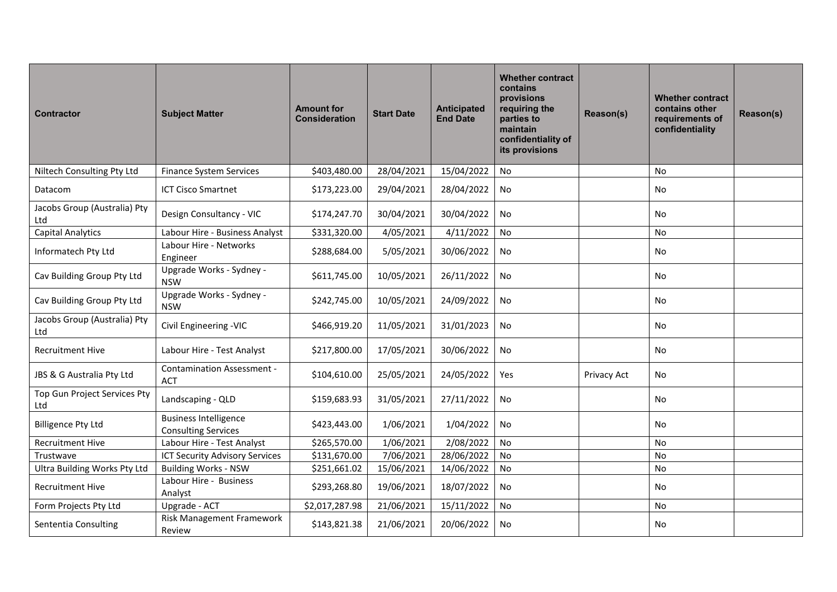| <b>Contractor</b>                   | <b>Subject Matter</b>                                      | <b>Amount for</b><br><b>Consideration</b> | <b>Start Date</b> | Anticipated<br><b>End Date</b> | <b>Whether contract</b><br>contains<br>provisions<br>requiring the<br>parties to<br>maintain<br>confidentiality of<br>its provisions | Reason(s)   | <b>Whether contract</b><br>contains other<br>requirements of<br>confidentiality | Reason(s) |
|-------------------------------------|------------------------------------------------------------|-------------------------------------------|-------------------|--------------------------------|--------------------------------------------------------------------------------------------------------------------------------------|-------------|---------------------------------------------------------------------------------|-----------|
| Niltech Consulting Pty Ltd          | <b>Finance System Services</b>                             | \$403,480.00                              | 28/04/2021        | 15/04/2022                     | No                                                                                                                                   |             | No                                                                              |           |
| Datacom                             | <b>ICT Cisco Smartnet</b>                                  | \$173,223.00                              | 29/04/2021        | 28/04/2022                     | No                                                                                                                                   |             | No                                                                              |           |
| Jacobs Group (Australia) Pty<br>Ltd | Design Consultancy - VIC                                   | \$174,247.70                              | 30/04/2021        | 30/04/2022                     | <b>No</b>                                                                                                                            |             | No.                                                                             |           |
| <b>Capital Analytics</b>            | Labour Hire - Business Analyst                             | \$331,320.00                              | 4/05/2021         | 4/11/2022                      | <b>No</b>                                                                                                                            |             | No                                                                              |           |
| Informatech Pty Ltd                 | Labour Hire - Networks<br>Engineer                         | \$288,684.00                              | 5/05/2021         | 30/06/2022                     | No                                                                                                                                   |             | No                                                                              |           |
| Cav Building Group Pty Ltd          | Upgrade Works - Sydney -<br><b>NSW</b>                     | \$611,745.00                              | 10/05/2021        | 26/11/2022                     | No                                                                                                                                   |             | No                                                                              |           |
| Cav Building Group Pty Ltd          | Upgrade Works - Sydney -<br><b>NSW</b>                     | \$242,745.00                              | 10/05/2021        | 24/09/2022                     | No                                                                                                                                   |             | No                                                                              |           |
| Jacobs Group (Australia) Pty<br>Ltd | Civil Engineering -VIC                                     | \$466,919.20                              | 11/05/2021        | 31/01/2023                     | No                                                                                                                                   |             | No                                                                              |           |
| <b>Recruitment Hive</b>             | Labour Hire - Test Analyst                                 | \$217,800.00                              | 17/05/2021        | 30/06/2022                     | No                                                                                                                                   |             | No                                                                              |           |
| JBS & G Australia Pty Ltd           | <b>Contamination Assessment -</b><br><b>ACT</b>            | \$104,610.00                              | 25/05/2021        | 24/05/2022                     | Yes                                                                                                                                  | Privacy Act | No                                                                              |           |
| Top Gun Project Services Pty<br>Ltd | Landscaping - QLD                                          | \$159,683.93                              | 31/05/2021        | 27/11/2022                     | No                                                                                                                                   |             | No                                                                              |           |
| <b>Billigence Pty Ltd</b>           | <b>Business Intelligence</b><br><b>Consulting Services</b> | \$423,443.00                              | 1/06/2021         | 1/04/2022                      | No                                                                                                                                   |             | No                                                                              |           |
| <b>Recruitment Hive</b>             | Labour Hire - Test Analyst                                 | \$265,570.00                              | 1/06/2021         | 2/08/2022                      | No                                                                                                                                   |             | <b>No</b>                                                                       |           |
| Trustwave                           | ICT Security Advisory Services                             | \$131,670.00                              | 7/06/2021         | 28/06/2022                     | No                                                                                                                                   |             | No                                                                              |           |
| Ultra Building Works Pty Ltd        | <b>Building Works - NSW</b>                                | \$251,661.02                              | 15/06/2021        | 14/06/2022                     | No                                                                                                                                   |             | No                                                                              |           |
| Recruitment Hive                    | Labour Hire - Business<br>Analyst                          | \$293,268.80                              | 19/06/2021        | 18/07/2022                     | No                                                                                                                                   |             | No                                                                              |           |
| Form Projects Pty Ltd               | Upgrade - ACT                                              | \$2,017,287.98                            | 21/06/2021        | 15/11/2022                     | No                                                                                                                                   |             | No                                                                              |           |
| Sententia Consulting                | Risk Management Framework<br>Review                        | \$143,821.38                              | 21/06/2021        | 20/06/2022                     | No                                                                                                                                   |             | No                                                                              |           |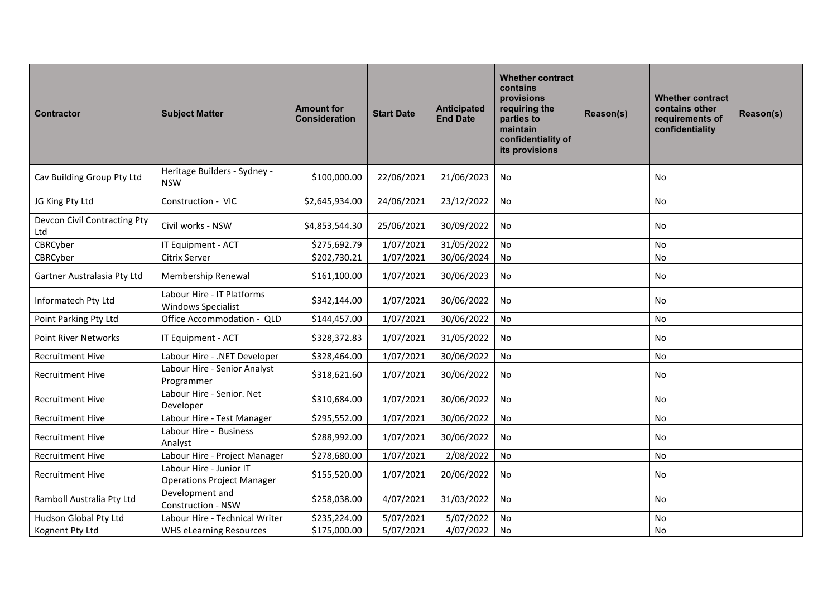| <b>Contractor</b>                   | <b>Subject Matter</b>                                        | <b>Amount for</b><br><b>Consideration</b> | <b>Start Date</b> | Anticipated<br><b>End Date</b> | <b>Whether contract</b><br>contains<br>provisions<br>requiring the<br>parties to<br>maintain<br>confidentiality of<br>its provisions | Reason(s) | <b>Whether contract</b><br>contains other<br>requirements of<br>confidentiality | Reason(s) |
|-------------------------------------|--------------------------------------------------------------|-------------------------------------------|-------------------|--------------------------------|--------------------------------------------------------------------------------------------------------------------------------------|-----------|---------------------------------------------------------------------------------|-----------|
| Cav Building Group Pty Ltd          | Heritage Builders - Sydney -<br><b>NSW</b>                   | \$100,000.00                              | 22/06/2021        | 21/06/2023                     | No                                                                                                                                   |           | No                                                                              |           |
| JG King Pty Ltd                     | Construction - VIC                                           | \$2,645,934.00                            | 24/06/2021        | 23/12/2022                     | No                                                                                                                                   |           | No                                                                              |           |
| Devcon Civil Contracting Pty<br>Ltd | Civil works - NSW                                            | \$4,853,544.30                            | 25/06/2021        | 30/09/2022                     | No                                                                                                                                   |           | No                                                                              |           |
| CBRCyber                            | IT Equipment - ACT                                           | \$275,692.79                              | 1/07/2021         | 31/05/2022                     | No                                                                                                                                   |           | No                                                                              |           |
| CBRCyber                            | Citrix Server                                                | \$202,730.21                              | 1/07/2021         | 30/06/2024                     | No                                                                                                                                   |           | No                                                                              |           |
| Gartner Australasia Pty Ltd         | Membership Renewal                                           | \$161,100.00                              | 1/07/2021         | 30/06/2023                     | No                                                                                                                                   |           | No                                                                              |           |
| Informatech Pty Ltd                 | Labour Hire - IT Platforms<br><b>Windows Specialist</b>      | \$342,144.00                              | 1/07/2021         | 30/06/2022                     | No                                                                                                                                   |           | No                                                                              |           |
| Point Parking Pty Ltd               | Office Accommodation - QLD                                   | \$144,457.00                              | 1/07/2021         | 30/06/2022                     | <b>No</b>                                                                                                                            |           | No                                                                              |           |
| <b>Point River Networks</b>         | IT Equipment - ACT                                           | \$328,372.83                              | 1/07/2021         | 31/05/2022                     | No                                                                                                                                   |           | No                                                                              |           |
| <b>Recruitment Hive</b>             | Labour Hire - .NET Developer                                 | \$328,464.00                              | 1/07/2021         | 30/06/2022                     | No                                                                                                                                   |           | No                                                                              |           |
| <b>Recruitment Hive</b>             | Labour Hire - Senior Analyst<br>Programmer                   | \$318,621.60                              | 1/07/2021         | 30/06/2022                     | No                                                                                                                                   |           | No                                                                              |           |
| <b>Recruitment Hive</b>             | Labour Hire - Senior. Net<br>Developer                       | \$310,684.00                              | 1/07/2021         | 30/06/2022                     | No                                                                                                                                   |           | No                                                                              |           |
| <b>Recruitment Hive</b>             | Labour Hire - Test Manager                                   | \$295,552.00                              | 1/07/2021         | 30/06/2022                     | No                                                                                                                                   |           | No                                                                              |           |
| <b>Recruitment Hive</b>             | Labour Hire - Business<br>Analyst                            | \$288,992.00                              | 1/07/2021         | 30/06/2022                     | No                                                                                                                                   |           | No                                                                              |           |
| <b>Recruitment Hive</b>             | Labour Hire - Project Manager                                | \$278,680.00                              | 1/07/2021         | 2/08/2022                      | No                                                                                                                                   |           | No                                                                              |           |
| <b>Recruitment Hive</b>             | Labour Hire - Junior IT<br><b>Operations Project Manager</b> | \$155,520.00                              | 1/07/2021         | 20/06/2022                     | No                                                                                                                                   |           | No                                                                              |           |
| Ramboll Australia Pty Ltd           | Development and<br>Construction - NSW                        | \$258,038.00                              | 4/07/2021         | 31/03/2022                     | No                                                                                                                                   |           | No                                                                              |           |
| Hudson Global Pty Ltd               | Labour Hire - Technical Writer                               | \$235,224.00                              | 5/07/2021         | 5/07/2022                      | No                                                                                                                                   |           | No                                                                              |           |
| Kognent Pty Ltd                     | <b>WHS eLearning Resources</b>                               | \$175,000.00                              | 5/07/2021         | 4/07/2022                      | No                                                                                                                                   |           | No                                                                              |           |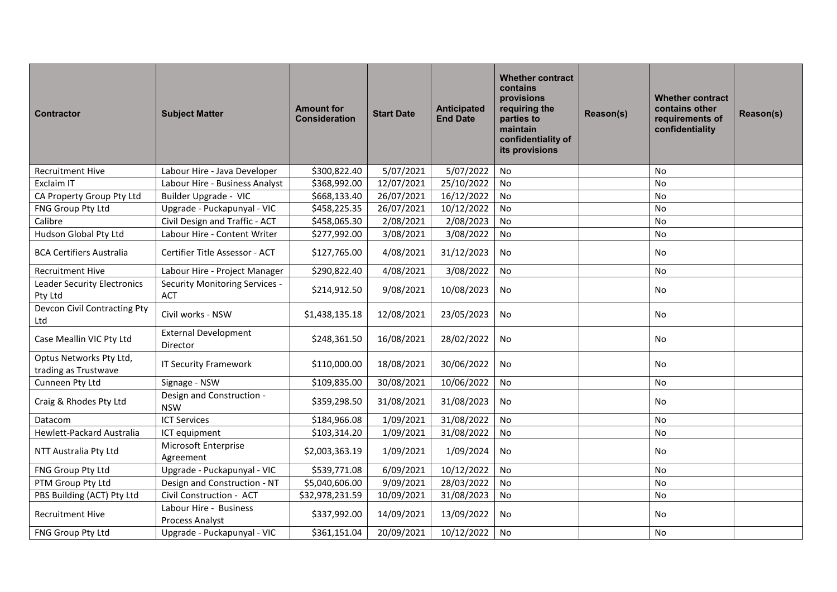| <b>Contractor</b>                               | <b>Subject Matter</b>                        | <b>Amount for</b><br><b>Consideration</b> | <b>Start Date</b> | <b>Anticipated</b><br><b>End Date</b> | <b>Whether contract</b><br>contains<br>provisions<br>requiring the<br>parties to<br>maintain<br>confidentiality of<br>its provisions | Reason(s) | <b>Whether contract</b><br>contains other<br>requirements of<br>confidentiality | Reason(s) |
|-------------------------------------------------|----------------------------------------------|-------------------------------------------|-------------------|---------------------------------------|--------------------------------------------------------------------------------------------------------------------------------------|-----------|---------------------------------------------------------------------------------|-----------|
| <b>Recruitment Hive</b>                         | Labour Hire - Java Developer                 | \$300,822.40                              | 5/07/2021         | 5/07/2022                             | No                                                                                                                                   |           | No                                                                              |           |
| <b>Exclaim IT</b>                               | Labour Hire - Business Analyst               | \$368,992.00                              | 12/07/2021        | 25/10/2022                            | <b>No</b>                                                                                                                            |           | <b>No</b>                                                                       |           |
| CA Property Group Pty Ltd                       | Builder Upgrade - VIC                        | \$668,133.40                              | 26/07/2021        | 16/12/2022                            | No                                                                                                                                   |           | <b>No</b>                                                                       |           |
| FNG Group Pty Ltd                               | Upgrade - Puckapunyal - VIC                  | \$458,225.35                              | 26/07/2021        | 10/12/2022                            | No                                                                                                                                   |           | No                                                                              |           |
| Calibre                                         | Civil Design and Traffic - ACT               | \$458,065.30                              | 2/08/2021         | 2/08/2023                             | <b>No</b>                                                                                                                            |           | No                                                                              |           |
| Hudson Global Pty Ltd                           | Labour Hire - Content Writer                 | \$277,992.00                              | 3/08/2021         | 3/08/2022                             | No                                                                                                                                   |           | No                                                                              |           |
| <b>BCA Certifiers Australia</b>                 | Certifier Title Assessor - ACT               | \$127,765.00                              | 4/08/2021         | 31/12/2023                            | No                                                                                                                                   |           | No                                                                              |           |
| <b>Recruitment Hive</b>                         | Labour Hire - Project Manager                | \$290,822.40                              | 4/08/2021         | 3/08/2022                             | No                                                                                                                                   |           | No                                                                              |           |
| <b>Leader Security Electronics</b><br>Pty Ltd   | Security Monitoring Services -<br><b>ACT</b> | \$214,912.50                              | 9/08/2021         | 10/08/2023                            | No                                                                                                                                   |           | <b>No</b>                                                                       |           |
| Devcon Civil Contracting Pty<br>Ltd             | Civil works - NSW                            | \$1,438,135.18                            | 12/08/2021        | 23/05/2023                            | No                                                                                                                                   |           | No                                                                              |           |
| Case Meallin VIC Pty Ltd                        | <b>External Development</b><br>Director      | \$248,361.50                              | 16/08/2021        | 28/02/2022                            | No                                                                                                                                   |           | No                                                                              |           |
| Optus Networks Pty Ltd,<br>trading as Trustwave | <b>IT Security Framework</b>                 | \$110,000.00                              | 18/08/2021        | 30/06/2022                            | No                                                                                                                                   |           | <b>No</b>                                                                       |           |
| Cunneen Pty Ltd                                 | Signage - NSW                                | \$109,835.00                              | 30/08/2021        | 10/06/2022                            | No                                                                                                                                   |           | No                                                                              |           |
| Craig & Rhodes Pty Ltd                          | Design and Construction -<br><b>NSW</b>      | \$359,298.50                              | 31/08/2021        | 31/08/2023                            | No                                                                                                                                   |           | No                                                                              |           |
| Datacom                                         | <b>ICT Services</b>                          | \$184,966.08                              | 1/09/2021         | 31/08/2022                            | No                                                                                                                                   |           | No                                                                              |           |
| Hewlett-Packard Australia                       | ICT equipment                                | \$103,314.20                              | 1/09/2021         | 31/08/2022                            | No                                                                                                                                   |           | No                                                                              |           |
| NTT Australia Pty Ltd                           | Microsoft Enterprise<br>Agreement            | \$2,003,363.19                            | 1/09/2021         | 1/09/2024                             | No                                                                                                                                   |           | No                                                                              |           |
| FNG Group Pty Ltd                               | Upgrade - Puckapunyal - VIC                  | \$539,771.08                              | 6/09/2021         | 10/12/2022                            | No                                                                                                                                   |           | <b>No</b>                                                                       |           |
| PTM Group Pty Ltd                               | Design and Construction - NT                 | \$5,040,606.00                            | 9/09/2021         | 28/03/2022                            | <b>No</b>                                                                                                                            |           | No                                                                              |           |
| PBS Building (ACT) Pty Ltd                      | Civil Construction - ACT                     | \$32,978,231.59                           | 10/09/2021        | 31/08/2023                            | No                                                                                                                                   |           | No                                                                              |           |
| <b>Recruitment Hive</b>                         | Labour Hire - Business<br>Process Analyst    | \$337,992.00                              | 14/09/2021        | 13/09/2022                            | No                                                                                                                                   |           | No                                                                              |           |
| FNG Group Pty Ltd                               | Upgrade - Puckapunyal - VIC                  | \$361,151.04                              | 20/09/2021        | 10/12/2022                            | No                                                                                                                                   |           | <b>No</b>                                                                       |           |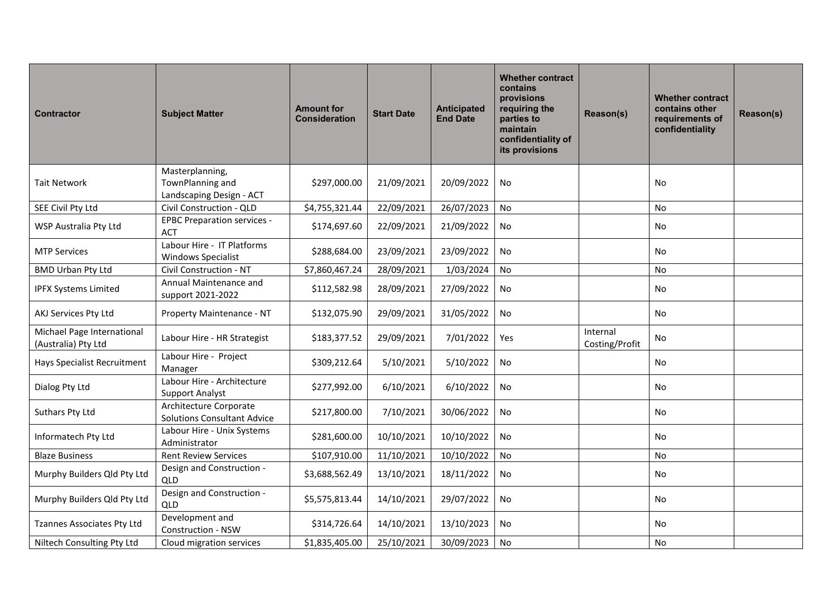| <b>Contractor</b>                                 | <b>Subject Matter</b>                                        | <b>Amount for</b><br><b>Consideration</b> | <b>Start Date</b> | Anticipated<br><b>End Date</b> | <b>Whether contract</b><br>contains<br>provisions<br>requiring the<br>parties to<br>maintain<br>confidentiality of<br>its provisions | Reason(s)                  | <b>Whether contract</b><br>contains other<br>requirements of<br>confidentiality | Reason(s) |
|---------------------------------------------------|--------------------------------------------------------------|-------------------------------------------|-------------------|--------------------------------|--------------------------------------------------------------------------------------------------------------------------------------|----------------------------|---------------------------------------------------------------------------------|-----------|
|                                                   | Masterplanning,                                              |                                           |                   |                                |                                                                                                                                      |                            |                                                                                 |           |
| <b>Tait Network</b>                               | TownPlanning and                                             | \$297,000.00                              | 21/09/2021        | 20/09/2022                     | No                                                                                                                                   |                            | No                                                                              |           |
|                                                   | Landscaping Design - ACT<br>Civil Construction - QLD         |                                           |                   |                                | <b>No</b>                                                                                                                            |                            | No                                                                              |           |
| SEE Civil Pty Ltd                                 | <b>EPBC Preparation services -</b>                           | \$4,755,321.44                            | 22/09/2021        | 26/07/2023                     |                                                                                                                                      |                            |                                                                                 |           |
| WSP Australia Pty Ltd                             | <b>ACT</b>                                                   | \$174,697.60                              | 22/09/2021        | 21/09/2022                     | No                                                                                                                                   |                            | No                                                                              |           |
| <b>MTP Services</b>                               | Labour Hire - IT Platforms<br><b>Windows Specialist</b>      | \$288,684.00                              | 23/09/2021        | 23/09/2022                     | No                                                                                                                                   |                            | <b>No</b>                                                                       |           |
| <b>BMD Urban Pty Ltd</b>                          | Civil Construction - NT                                      | \$7,860,467.24                            | 28/09/2021        | 1/03/2024                      | No                                                                                                                                   |                            | No                                                                              |           |
| <b>IPFX Systems Limited</b>                       | Annual Maintenance and<br>support 2021-2022                  | \$112,582.98                              | 28/09/2021        | 27/09/2022                     | No                                                                                                                                   |                            | No                                                                              |           |
| AKJ Services Pty Ltd                              | Property Maintenance - NT                                    | \$132,075.90                              | 29/09/2021        | 31/05/2022                     | No                                                                                                                                   |                            | <b>No</b>                                                                       |           |
| Michael Page International<br>(Australia) Pty Ltd | Labour Hire - HR Strategist                                  | \$183,377.52                              | 29/09/2021        | 7/01/2022                      | <b>Yes</b>                                                                                                                           | Internal<br>Costing/Profit | No                                                                              |           |
| <b>Hays Specialist Recruitment</b>                | Labour Hire - Project<br>Manager                             | \$309,212.64                              | 5/10/2021         | 5/10/2022                      | <b>No</b>                                                                                                                            |                            | <b>No</b>                                                                       |           |
| Dialog Pty Ltd                                    | Labour Hire - Architecture<br><b>Support Analyst</b>         | \$277,992.00                              | 6/10/2021         | 6/10/2022                      | No                                                                                                                                   |                            | No                                                                              |           |
| Suthars Pty Ltd                                   | Architecture Corporate<br><b>Solutions Consultant Advice</b> | \$217,800.00                              | 7/10/2021         | 30/06/2022                     | No                                                                                                                                   |                            | No                                                                              |           |
| Informatech Pty Ltd                               | Labour Hire - Unix Systems<br>Administrator                  | \$281,600.00                              | 10/10/2021        | 10/10/2022                     | No                                                                                                                                   |                            | <b>No</b>                                                                       |           |
| <b>Blaze Business</b>                             | <b>Rent Review Services</b>                                  | \$107,910.00                              | 11/10/2021        | 10/10/2022                     | No                                                                                                                                   |                            | <b>No</b>                                                                       |           |
| Murphy Builders Qld Pty Ltd                       | Design and Construction -<br>QLD                             | \$3,688,562.49                            | 13/10/2021        | 18/11/2022                     | No                                                                                                                                   |                            | No                                                                              |           |
| Murphy Builders Qld Pty Ltd                       | Design and Construction -<br>QLD                             | \$5,575,813.44                            | 14/10/2021        | 29/07/2022                     | No                                                                                                                                   |                            | No                                                                              |           |
| Tzannes Associates Pty Ltd                        | Development and<br>Construction - NSW                        | \$314,726.64                              | 14/10/2021        | 13/10/2023                     | No                                                                                                                                   |                            | No                                                                              |           |
| Niltech Consulting Pty Ltd                        | Cloud migration services                                     | \$1,835,405.00                            | 25/10/2021        | 30/09/2023                     | No                                                                                                                                   |                            | No                                                                              |           |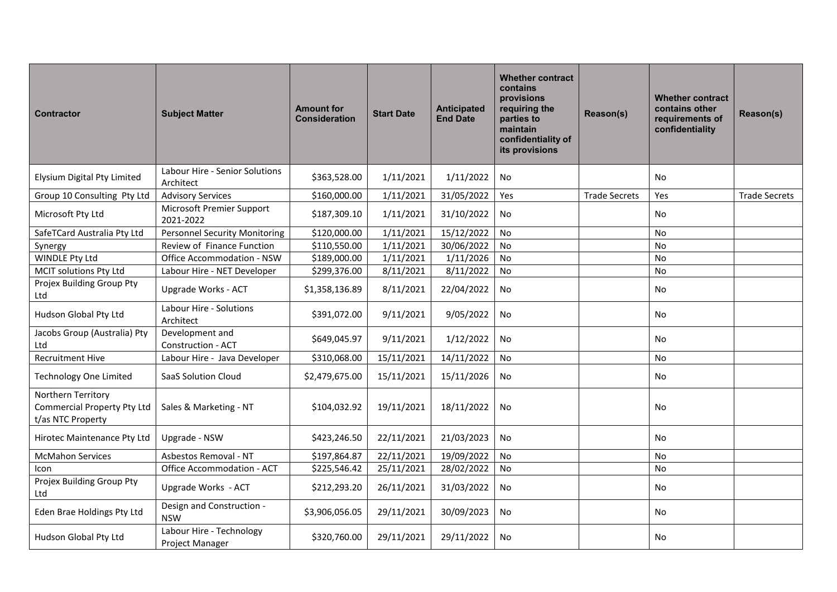| <b>Contractor</b>                                                      | <b>Subject Matter</b>                        | <b>Amount for</b><br><b>Consideration</b> | <b>Start Date</b> | <b>Anticipated</b><br><b>End Date</b> | <b>Whether contract</b><br>contains<br>provisions<br>requiring the<br>parties to<br>maintain<br>confidentiality of<br>its provisions | Reason(s)            | <b>Whether contract</b><br>contains other<br>requirements of<br>confidentiality | Reason(s)            |
|------------------------------------------------------------------------|----------------------------------------------|-------------------------------------------|-------------------|---------------------------------------|--------------------------------------------------------------------------------------------------------------------------------------|----------------------|---------------------------------------------------------------------------------|----------------------|
| Elysium Digital Pty Limited                                            | Labour Hire - Senior Solutions<br>Architect  | \$363,528.00                              | 1/11/2021         | 1/11/2022                             | No                                                                                                                                   |                      | <b>No</b>                                                                       |                      |
| Group 10 Consulting Pty Ltd                                            | <b>Advisory Services</b>                     | \$160,000.00                              | 1/11/2021         | 31/05/2022                            | Yes                                                                                                                                  | <b>Trade Secrets</b> | Yes                                                                             | <b>Trade Secrets</b> |
| Microsoft Pty Ltd                                                      | Microsoft Premier Support<br>2021-2022       | \$187,309.10                              | 1/11/2021         | 31/10/2022                            | No                                                                                                                                   |                      | <b>No</b>                                                                       |                      |
| SafeTCard Australia Pty Ltd                                            | <b>Personnel Security Monitoring</b>         | \$120,000.00                              | 1/11/2021         | 15/12/2022                            | No                                                                                                                                   |                      | No                                                                              |                      |
| Synergy                                                                | Review of Finance Function                   | \$110,550.00                              | 1/11/2021         | 30/06/2022                            | No                                                                                                                                   |                      | No                                                                              |                      |
| <b>WINDLE Pty Ltd</b>                                                  | Office Accommodation - NSW                   | \$189,000.00                              | 1/11/2021         | 1/11/2026                             | No                                                                                                                                   |                      | <b>No</b>                                                                       |                      |
| MCIT solutions Pty Ltd                                                 | Labour Hire - NET Developer                  | \$299,376.00                              | 8/11/2021         | 8/11/2022                             | No                                                                                                                                   |                      | No                                                                              |                      |
| Projex Building Group Pty<br>Ltd                                       | Upgrade Works - ACT                          | \$1,358,136.89                            | 8/11/2021         | 22/04/2022                            | <b>No</b>                                                                                                                            |                      | No                                                                              |                      |
| Hudson Global Pty Ltd                                                  | Labour Hire - Solutions<br>Architect         | \$391,072.00                              | 9/11/2021         | 9/05/2022                             | No                                                                                                                                   |                      | <b>No</b>                                                                       |                      |
| Jacobs Group (Australia) Pty<br>Ltd                                    | Development and<br><b>Construction - ACT</b> | \$649,045.97                              | 9/11/2021         | 1/12/2022                             | No                                                                                                                                   |                      | No                                                                              |                      |
| <b>Recruitment Hive</b>                                                | Labour Hire - Java Developer                 | \$310,068.00                              | 15/11/2021        | 14/11/2022                            | No                                                                                                                                   |                      | No                                                                              |                      |
| <b>Technology One Limited</b>                                          | SaaS Solution Cloud                          | \$2,479,675.00                            | 15/11/2021        | 15/11/2026                            | No                                                                                                                                   |                      | No                                                                              |                      |
| Northern Territory<br>Commercial Property Pty Ltd<br>t/as NTC Property | Sales & Marketing - NT                       | \$104,032.92                              | 19/11/2021        | 18/11/2022                            | No                                                                                                                                   |                      | <b>No</b>                                                                       |                      |
| Hirotec Maintenance Pty Ltd                                            | Upgrade - NSW                                | \$423,246.50                              | 22/11/2021        | 21/03/2023                            | No                                                                                                                                   |                      | <b>No</b>                                                                       |                      |
| <b>McMahon Services</b>                                                | Asbestos Removal - NT                        | \$197,864.87                              | 22/11/2021        | 19/09/2022                            | No                                                                                                                                   |                      | No                                                                              |                      |
| Icon                                                                   | Office Accommodation - ACT                   | \$225,546.42                              | 25/11/2021        | 28/02/2022                            | No                                                                                                                                   |                      | No                                                                              |                      |
| Projex Building Group Pty<br>Ltd                                       | Upgrade Works - ACT                          | \$212,293.20                              | 26/11/2021        | 31/03/2022                            | No                                                                                                                                   |                      | No                                                                              |                      |
| Eden Brae Holdings Pty Ltd                                             | Design and Construction -<br><b>NSW</b>      | \$3,906,056.05                            | 29/11/2021        | 30/09/2023                            | No                                                                                                                                   |                      | No                                                                              |                      |
| Hudson Global Pty Ltd                                                  | Labour Hire - Technology<br>Project Manager  | \$320,760.00                              | 29/11/2021        | 29/11/2022                            | No                                                                                                                                   |                      | <b>No</b>                                                                       |                      |